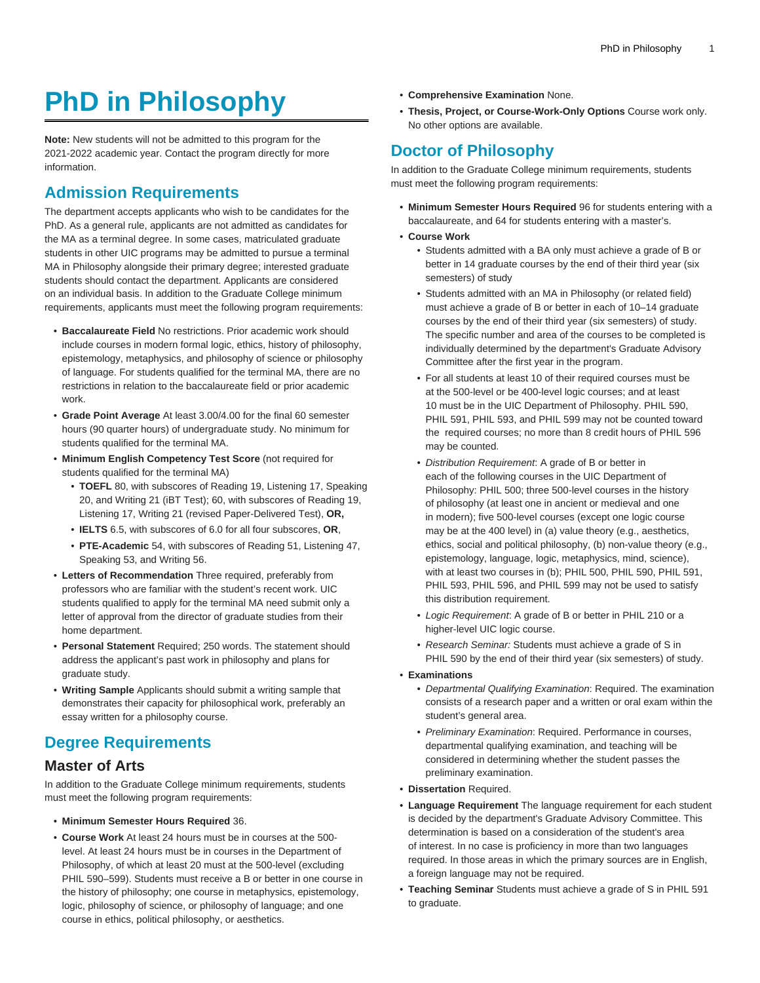# **PhD in Philosophy**

**Note:** New students will not be admitted to this program for the 2021-2022 academic year. Contact the program directly for more information.

## **Admission Requirements**

The department accepts applicants who wish to be candidates for the PhD. As a general rule, applicants are not admitted as candidates for the MA as a terminal degree. In some cases, matriculated graduate students in other UIC programs may be admitted to pursue a terminal MA in Philosophy alongside their primary degree; interested graduate students should contact the department. Applicants are considered on an individual basis. In addition to the Graduate College minimum requirements, applicants must meet the following program requirements:

- **Baccalaureate Field** No restrictions. Prior academic work should include courses in modern formal logic, ethics, history of philosophy, epistemology, metaphysics, and philosophy of science or philosophy of language. For students qualified for the terminal MA, there are no restrictions in relation to the baccalaureate field or prior academic work.
- **Grade Point Average** At least 3.00/4.00 for the final 60 semester hours (90 quarter hours) of undergraduate study. No minimum for students qualified for the terminal MA.
- **Minimum English Competency Test Score** (not required for students qualified for the terminal MA)
	- **TOEFL** 80, with subscores of Reading 19, Listening 17, Speaking 20, and Writing 21 (iBT Test); 60, with subscores of Reading 19, Listening 17, Writing 21 (revised Paper-Delivered Test), **OR,**
	- **IELTS** 6.5, with subscores of 6.0 for all four subscores, **OR**,
	- **PTE-Academic** 54, with subscores of Reading 51, Listening 47, Speaking 53, and Writing 56.
- **Letters of Recommendation** Three required, preferably from professors who are familiar with the student's recent work. UIC students qualified to apply for the terminal MA need submit only a letter of approval from the director of graduate studies from their home department.
- **Personal Statement** Required; 250 words. The statement should address the applicant's past work in philosophy and plans for graduate study.
- **Writing Sample** Applicants should submit a writing sample that demonstrates their capacity for philosophical work, preferably an essay written for a philosophy course.

### **Degree Requirements**

#### **Master of Arts**

In addition to the Graduate College minimum requirements, students must meet the following program requirements:

- **Minimum Semester Hours Required** 36.
- **Course Work** At least 24 hours must be in courses at the 500 level. At least 24 hours must be in courses in the Department of Philosophy, of which at least 20 must at the 500-level (excluding PHIL 590–599). Students must receive a B or better in one course in the history of philosophy; one course in metaphysics, epistemology, logic, philosophy of science, or philosophy of language; and one course in ethics, political philosophy, or aesthetics.
- **Comprehensive Examination** None.
- **Thesis, Project, or Course-Work-Only Options** Course work only. No other options are available.

## **Doctor of Philosophy**

In addition to the Graduate College minimum requirements, students must meet the following program requirements:

- **Minimum Semester Hours Required** 96 for students entering with a baccalaureate, and 64 for students entering with a master's.
- **Course Work**
	- Students admitted with a BA only must achieve a grade of B or better in 14 graduate courses by the end of their third year (six semesters) of study
	- Students admitted with an MA in Philosophy (or related field) must achieve a grade of B or better in each of 10–14 graduate courses by the end of their third year (six semesters) of study. The specific number and area of the courses to be completed is individually determined by the department's Graduate Advisory Committee after the first year in the program.
	- For all students at least 10 of their required courses must be at the 500-level or be 400-level logic courses; and at least 10 must be in the UIC Department of Philosophy. PHIL 590, PHIL 591, PHIL 593, and PHIL 599 may not be counted toward the required courses; no more than 8 credit hours of PHIL 596 may be counted.
	- Distribution Requirement: A grade of B or better in each of the following courses in the UIC Department of Philosophy: PHIL 500; three 500-level courses in the history of philosophy (at least one in ancient or medieval and one in modern); five 500-level courses (except one logic course may be at the 400 level) in (a) value theory (e.g., aesthetics, ethics, social and political philosophy, (b) non-value theory (e.g., epistemology, language, logic, metaphysics, mind, science), with at least two courses in (b); PHIL 500, PHIL 590, PHIL 591, PHIL 593, PHIL 596, and PHIL 599 may not be used to satisfy this distribution requirement.
	- Logic Requirement: A grade of B or better in PHIL 210 or a higher-level UIC logic course.
	- Research Seminar: Students must achieve a grade of S in PHIL 590 by the end of their third year (six semesters) of study.
- **Examinations**
	- Departmental Qualifying Examination: Required. The examination consists of a research paper and a written or oral exam within the student's general area.
	- Preliminary Examination: Required. Performance in courses, departmental qualifying examination, and teaching will be considered in determining whether the student passes the preliminary examination.
- **Dissertation** Required.
- **Language Requirement** The language requirement for each student is decided by the department's Graduate Advisory Committee. This determination is based on a consideration of the student's area of interest. In no case is proficiency in more than two languages required. In those areas in which the primary sources are in English, a foreign language may not be required.
- **Teaching Seminar** Students must achieve a grade of S in PHIL 591 to graduate.